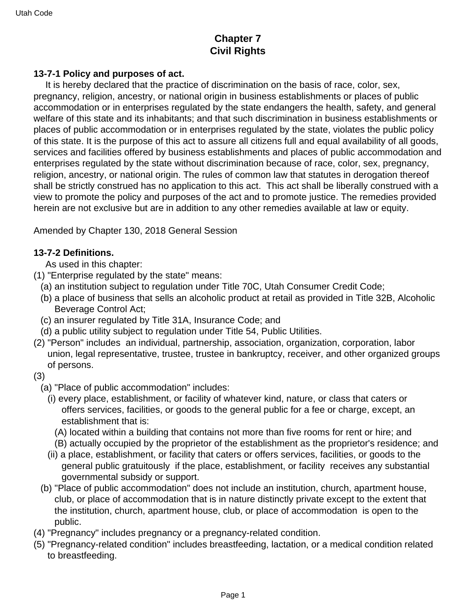# **Chapter 7 Civil Rights**

## **13-7-1 Policy and purposes of act.**

 It is hereby declared that the practice of discrimination on the basis of race, color, sex, pregnancy, religion, ancestry, or national origin in business establishments or places of public accommodation or in enterprises regulated by the state endangers the health, safety, and general welfare of this state and its inhabitants; and that such discrimination in business establishments or places of public accommodation or in enterprises regulated by the state, violates the public policy of this state. It is the purpose of this act to assure all citizens full and equal availability of all goods, services and facilities offered by business establishments and places of public accommodation and enterprises regulated by the state without discrimination because of race, color, sex, pregnancy, religion, ancestry, or national origin. The rules of common law that statutes in derogation thereof shall be strictly construed has no application to this act. This act shall be liberally construed with a view to promote the policy and purposes of the act and to promote justice. The remedies provided herein are not exclusive but are in addition to any other remedies available at law or equity.

Amended by Chapter 130, 2018 General Session

### **13-7-2 Definitions.**

As used in this chapter:

- (1) "Enterprise regulated by the state" means:
	- (a) an institution subject to regulation under Title 70C, Utah Consumer Credit Code;
	- (b) a place of business that sells an alcoholic product at retail as provided in Title 32B, Alcoholic Beverage Control Act;
	- (c) an insurer regulated by Title 31A, Insurance Code; and
	- (d) a public utility subject to regulation under Title 54, Public Utilities.
- (2) "Person" includes an individual, partnership, association, organization, corporation, labor union, legal representative, trustee, trustee in bankruptcy, receiver, and other organized groups of persons.

#### (3)

- (a) "Place of public accommodation" includes:
	- (i) every place, establishment, or facility of whatever kind, nature, or class that caters or offers services, facilities, or goods to the general public for a fee or charge, except, an establishment that is:
		- (A) located within a building that contains not more than five rooms for rent or hire; and
		- (B) actually occupied by the proprietor of the establishment as the proprietor's residence; and
	- (ii) a place, establishment, or facility that caters or offers services, facilities, or goods to the general public gratuitously if the place, establishment, or facility receives any substantial governmental subsidy or support.
- (b) "Place of public accommodation" does not include an institution, church, apartment house, club, or place of accommodation that is in nature distinctly private except to the extent that the institution, church, apartment house, club, or place of accommodation is open to the public.
- (4) "Pregnancy" includes pregnancy or a pregnancy-related condition.
- (5) "Pregnancy-related condition" includes breastfeeding, lactation, or a medical condition related to breastfeeding.